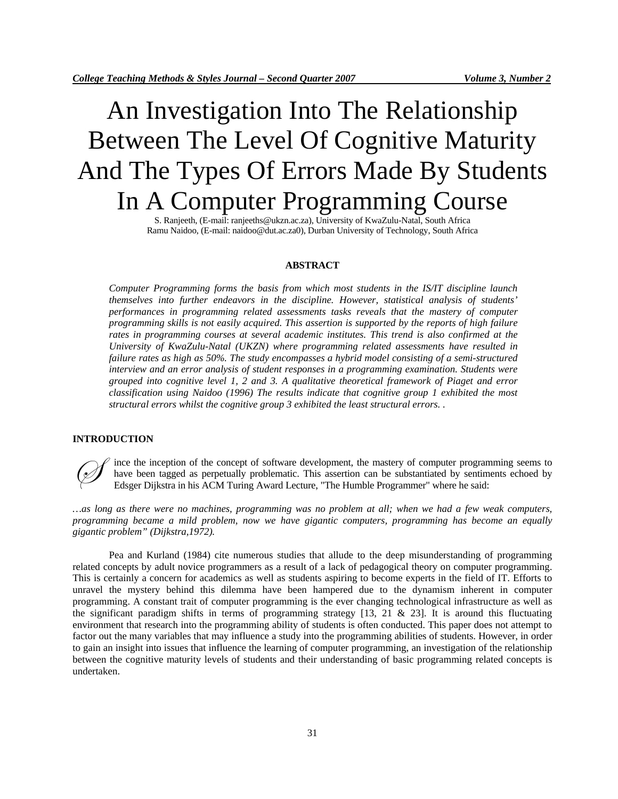# An Investigation Into The Relationship Between The Level Of Cognitive Maturity And The Types Of Errors Made By Students In A Computer Programming Course

S. Ranjeeth, (E-mail: ranjeeths@ukzn.ac.za), University of KwaZulu-Natal, South Africa Ramu Naidoo, (E-mail: naidoo@dut.ac.za0), Durban University of Technology, South Africa

## **ABSTRACT**

*Computer Programming forms the basis from which most students in the IS/IT discipline launch themselves into further endeavors in the discipline. However, statistical analysis of students' performances in programming related assessments tasks reveals that the mastery of computer programming skills is not easily acquired. This assertion is supported by the reports of high failure rates in programming courses at several academic institutes. This trend is also confirmed at the University of KwaZulu-Natal (UKZN) where programming related assessments have resulted in failure rates as high as 50%. The study encompasses a hybrid model consisting of a semi-structured interview and an error analysis of student responses in a programming examination. Students were grouped into cognitive level 1, 2 and 3. A qualitative theoretical framework of Piaget and error classification using Naidoo (1996) The results indicate that cognitive group 1 exhibited the most structural errors whilst the cognitive group 3 exhibited the least structural errors. .* 

#### **INTRODUCTION**

ince the inception of the concept of software development, the mastery of computer programming seems to have been tagged as perpetually problematic. This assertion can be substantiated by sentiments echoed by Edsger Dijkstra in his ACM Turing Award Lecture, "The Humble Programmer" where he said:

*…as long as there were no machines, programming was no problem at all; when we had a few weak computers, programming became a mild problem, now we have gigantic computers, programming has become an equally gigantic problem" (Dijkstra,1972).* 

 Pea and Kurland (1984) cite numerous studies that allude to the deep misunderstanding of programming related concepts by adult novice programmers as a result of a lack of pedagogical theory on computer programming. This is certainly a concern for academics as well as students aspiring to become experts in the field of IT. Efforts to unravel the mystery behind this dilemma have been hampered due to the dynamism inherent in computer programming. A constant trait of computer programming is the ever changing technological infrastructure as well as the significant paradigm shifts in terms of programming strategy  $[13, 21 \& 23]$ . It is around this fluctuating environment that research into the programming ability of students is often conducted. This paper does not attempt to factor out the many variables that may influence a study into the programming abilities of students. However, in order to gain an insight into issues that influence the learning of computer programming, an investigation of the relationship between the cognitive maturity levels of students and their understanding of basic programming related concepts is undertaken.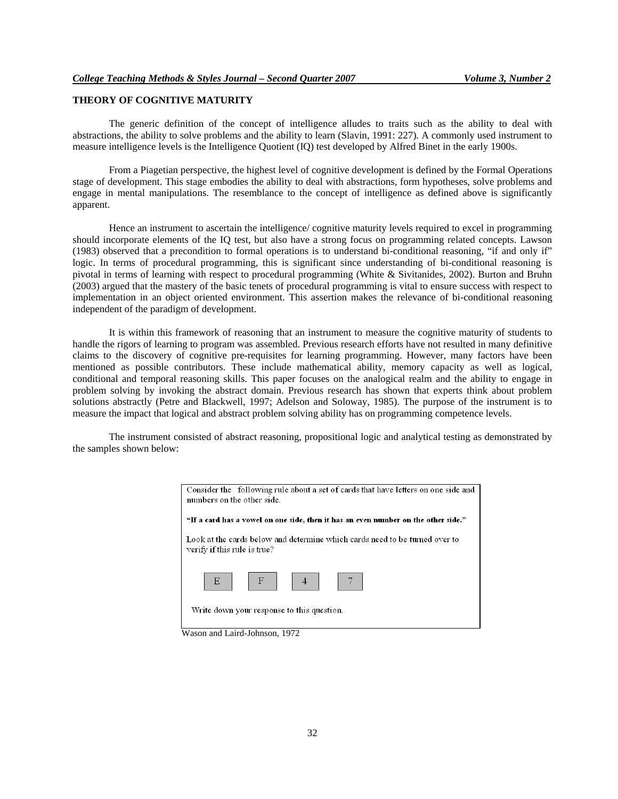## **THEORY OF COGNITIVE MATURITY**

The generic definition of the concept of intelligence alludes to traits such as the ability to deal with abstractions, the ability to solve problems and the ability to learn (Slavin, 1991: 227)*.* A commonly used instrument to measure intelligence levels is the Intelligence Quotient (IQ) test developed by Alfred Binet in the early 1900s.

From a Piagetian perspective, the highest level of cognitive development is defined by the Formal Operations stage of development. This stage embodies the ability to deal with abstractions, form hypotheses, solve problems and engage in mental manipulations. The resemblance to the concept of intelligence as defined above is significantly apparent.

Hence an instrument to ascertain the intelligence/ cognitive maturity levels required to excel in programming should incorporate elements of the IQ test, but also have a strong focus on programming related concepts. Lawson (1983) observed that a precondition to formal operations is to understand bi-conditional reasoning, "if and only if" logic. In terms of procedural programming, this is significant since understanding of bi-conditional reasoning is pivotal in terms of learning with respect to procedural programming (White & Sivitanides, 2002). Burton and Bruhn (2003) argued that the mastery of the basic tenets of procedural programming is vital to ensure success with respect to implementation in an object oriented environment. This assertion makes the relevance of bi-conditional reasoning independent of the paradigm of development.

It is within this framework of reasoning that an instrument to measure the cognitive maturity of students to handle the rigors of learning to program was assembled. Previous research efforts have not resulted in many definitive claims to the discovery of cognitive pre-requisites for learning programming. However, many factors have been mentioned as possible contributors. These include mathematical ability, memory capacity as well as logical, conditional and temporal reasoning skills. This paper focuses on the analogical realm and the ability to engage in problem solving by invoking the abstract domain. Previous research has shown that experts think about problem solutions abstractly (Petre and Blackwell, 1997; Adelson and Soloway, 1985). The purpose of the instrument is to measure the impact that logical and abstract problem solving ability has on programming competence levels.

The instrument consisted of abstract reasoning, propositional logic and analytical testing as demonstrated by the samples shown below:

| Consider the following rule about a set of cards that have letters on one side and<br>numbers on the other side. |  |  |  |  |  |
|------------------------------------------------------------------------------------------------------------------|--|--|--|--|--|
| "If a card has a vowel on one side, then it has an even number on the other side."                               |  |  |  |  |  |
| Look at the cards below and determine which cards need to be turned over to<br>verify if this rule is true?      |  |  |  |  |  |
| $\begin{array}{ c c c c c c } \hline \end{array}$ F     4  <br>E                                                 |  |  |  |  |  |
| Write down your response to this question.                                                                       |  |  |  |  |  |

Wason and Laird-Johnson, 1972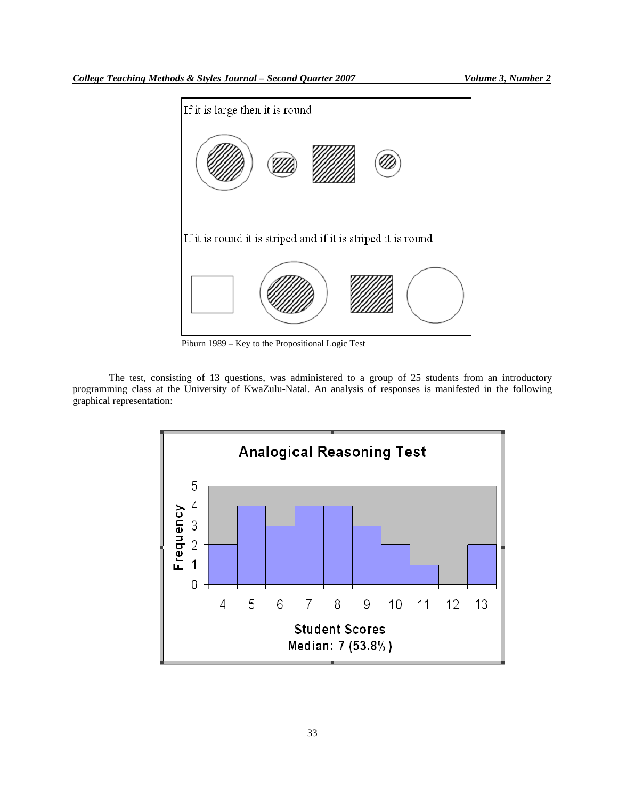

Piburn 1989 – Key to the Propositional Logic Test

The test, consisting of 13 questions, was administered to a group of 25 students from an introductory programming class at the University of KwaZulu-Natal. An analysis of responses is manifested in the following graphical representation:

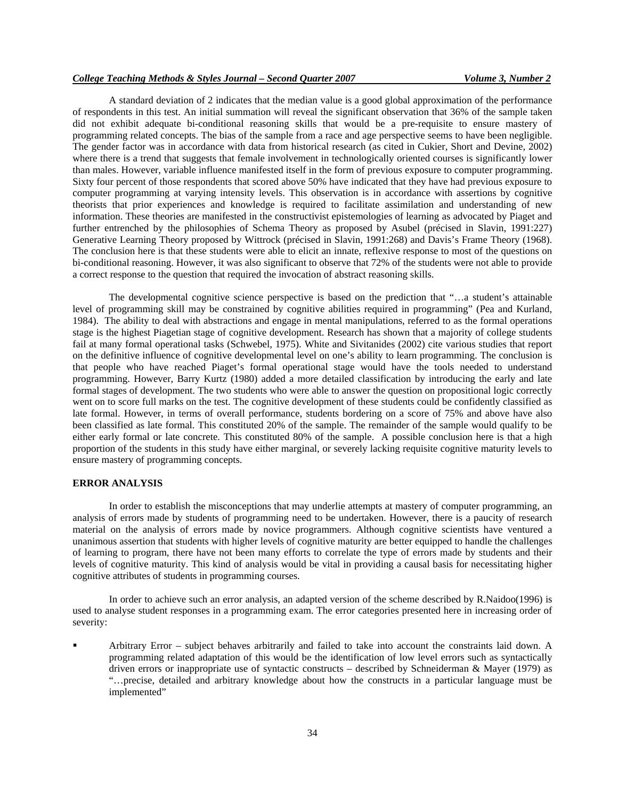## *College Teaching Methods & Styles Journal – Second Quarter 2007 Volume 3, Number 2*

A standard deviation of 2 indicates that the median value is a good global approximation of the performance of respondents in this test. An initial summation will reveal the significant observation that 36% of the sample taken did not exhibit adequate bi-conditional reasoning skills that would be a pre-requisite to ensure mastery of programming related concepts. The bias of the sample from a race and age perspective seems to have been negligible. The gender factor was in accordance with data from historical research (as cited in Cukier, Short and Devine, 2002) where there is a trend that suggests that female involvement in technologically oriented courses is significantly lower than males. However, variable influence manifested itself in the form of previous exposure to computer programming. Sixty four percent of those respondents that scored above 50% have indicated that they have had previous exposure to computer programming at varying intensity levels. This observation is in accordance with assertions by cognitive theorists that prior experiences and knowledge is required to facilitate assimilation and understanding of new information. These theories are manifested in the constructivist epistemologies of learning as advocated by Piaget and further entrenched by the philosophies of Schema Theory as proposed by Asubel (précised in Slavin, 1991:227) Generative Learning Theory proposed by Wittrock (précised in Slavin, 1991:268) and Davis's Frame Theory (1968). The conclusion here is that these students were able to elicit an innate, reflexive response to most of the questions on bi-conditional reasoning. However, it was also significant to observe that 72% of the students were not able to provide a correct response to the question that required the invocation of abstract reasoning skills.

The developmental cognitive science perspective is based on the prediction that "…a student's attainable level of programming skill may be constrained by cognitive abilities required in programming" (Pea and Kurland, 1984). The ability to deal with abstractions and engage in mental manipulations, referred to as the formal operations stage is the highest Piagetian stage of cognitive development. Research has shown that a majority of college students fail at many formal operational tasks (Schwebel, 1975). White and Sivitanides (2002) cite various studies that report on the definitive influence of cognitive developmental level on one's ability to learn programming. The conclusion is that people who have reached Piaget's formal operational stage would have the tools needed to understand programming. However, Barry Kurtz (1980) added a more detailed classification by introducing the early and late formal stages of development. The two students who were able to answer the question on propositional logic correctly went on to score full marks on the test. The cognitive development of these students could be confidently classified as late formal. However, in terms of overall performance, students bordering on a score of 75% and above have also been classified as late formal. This constituted 20% of the sample. The remainder of the sample would qualify to be either early formal or late concrete. This constituted 80% of the sample. A possible conclusion here is that a high proportion of the students in this study have either marginal, or severely lacking requisite cognitive maturity levels to ensure mastery of programming concepts.

## **ERROR ANALYSIS**

In order to establish the misconceptions that may underlie attempts at mastery of computer programming, an analysis of errors made by students of programming need to be undertaken. However, there is a paucity of research material on the analysis of errors made by novice programmers. Although cognitive scientists have ventured a unanimous assertion that students with higher levels of cognitive maturity are better equipped to handle the challenges of learning to program, there have not been many efforts to correlate the type of errors made by students and their levels of cognitive maturity. This kind of analysis would be vital in providing a causal basis for necessitating higher cognitive attributes of students in programming courses.

In order to achieve such an error analysis, an adapted version of the scheme described by R.Naidoo(1996) is used to analyse student responses in a programming exam. The error categories presented here in increasing order of severity:

 Arbitrary Error – subject behaves arbitrarily and failed to take into account the constraints laid down. A programming related adaptation of this would be the identification of low level errors such as syntactically driven errors or inappropriate use of syntactic constructs – described by Schneiderman & Mayer (1979) as "…precise, detailed and arbitrary knowledge about how the constructs in a particular language must be implemented"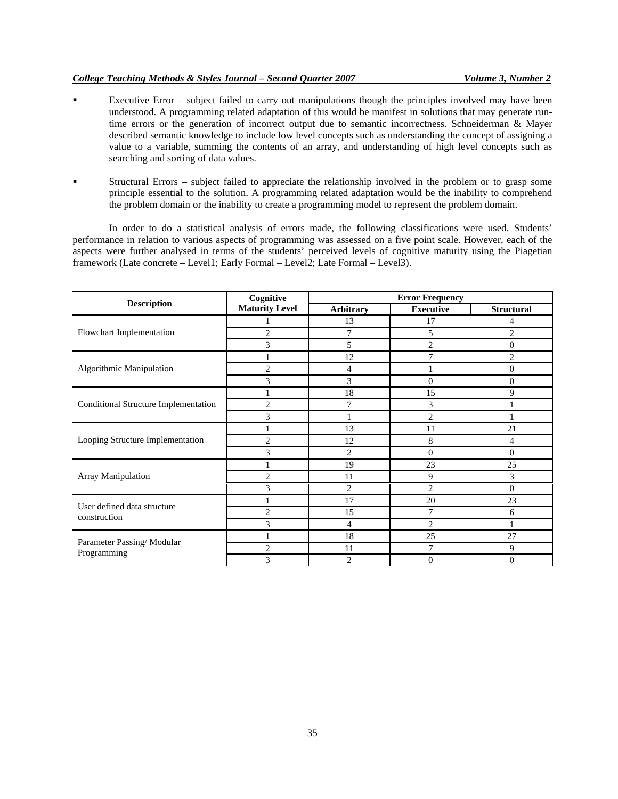## *College Teaching Methods & Styles Journal – Second Quarter 2007 Volume 3, Number 2*

- Executive Error subject failed to carry out manipulations though the principles involved may have been understood. A programming related adaptation of this would be manifest in solutions that may generate runtime errors or the generation of incorrect output due to semantic incorrectness. Schneiderman & Mayer described semantic knowledge to include low level concepts such as understanding the concept of assigning a value to a variable, summing the contents of an array, and understanding of high level concepts such as searching and sorting of data values.
- Structural Errors subject failed to appreciate the relationship involved in the problem or to grasp some principle essential to the solution. A programming related adaptation would be the inability to comprehend the problem domain or the inability to create a programming model to represent the problem domain.

In order to do a statistical analysis of errors made, the following classifications were used. Students' performance in relation to various aspects of programming was assessed on a five point scale. However, each of the aspects were further analysed in terms of the students' perceived levels of cognitive maturity using the Piagetian framework (Late concrete – Level1; Early Formal – Level2; Late Formal – Level3).

| <b>Description</b>                          | Cognitive<br><b>Maturity Level</b> | <b>Error Frequency</b> |                  |                   |
|---------------------------------------------|------------------------------------|------------------------|------------------|-------------------|
|                                             |                                    | <b>Arbitrary</b>       | <b>Executive</b> | <b>Structural</b> |
| Flowchart Implementation                    |                                    | 13                     | 17               | 4                 |
|                                             | $\overline{2}$                     | 7                      | 5                | $\overline{c}$    |
|                                             | 3                                  | 5                      | 2                | $\mathbf{0}$      |
| Algorithmic Manipulation                    | 1                                  | 12                     | 7                | $\overline{2}$    |
|                                             | $\overline{2}$                     | 4                      |                  | $\theta$          |
|                                             | 3                                  | 3                      | $\Omega$         | $\mathbf{0}$      |
| Conditional Structure Implementation        |                                    | 18                     | 15               | 9                 |
|                                             | $\overline{c}$                     | 7                      | 3                |                   |
|                                             | 3                                  |                        | 2                |                   |
| Looping Structure Implementation            |                                    | 13                     | 11               | 21                |
|                                             | $\overline{c}$                     | 12                     | 8                | 4                 |
|                                             | 3                                  | $\overline{2}$         | $\Omega$         | $\mathbf{0}$      |
| Array Manipulation                          |                                    | 19                     | 23               | 25                |
|                                             | $\overline{c}$                     | 11                     | 9                | 3                 |
|                                             | 3                                  | $\overline{2}$         | $\overline{2}$   | $\mathbf{0}$      |
| User defined data structure<br>construction |                                    | 17                     | 20               | 23                |
|                                             | $\overline{2}$                     | 15                     | 7                | 6                 |
|                                             | 3                                  | 4                      | 2                |                   |
| Parameter Passing/Modular<br>Programming    | 1                                  | 18                     | 25               | 27                |
|                                             | $\overline{2}$                     | 11                     | 7                | 9                 |
|                                             | 3                                  | $\overline{2}$         | $\theta$         | $\overline{0}$    |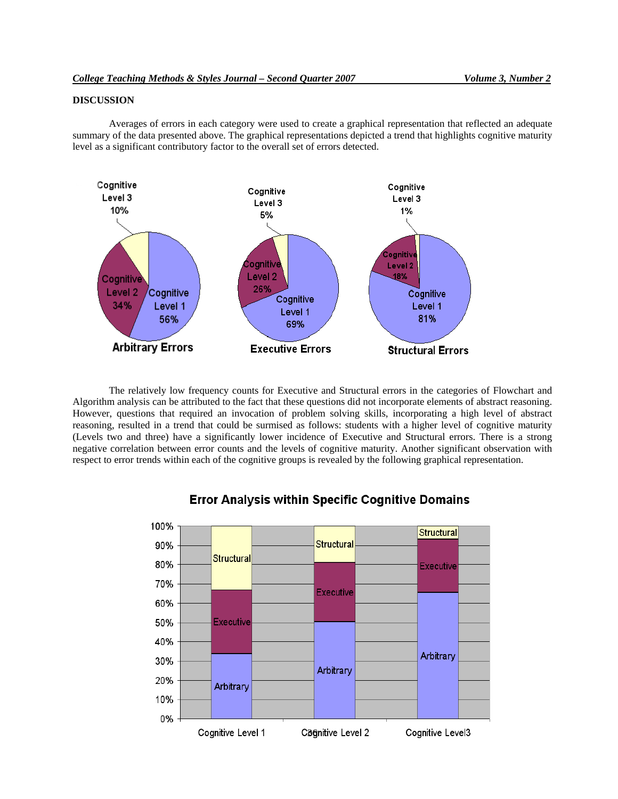## **DISCUSSION**

Averages of errors in each category were used to create a graphical representation that reflected an adequate summary of the data presented above. The graphical representations depicted a trend that highlights cognitive maturity level as a significant contributory factor to the overall set of errors detected.



The relatively low frequency counts for Executive and Structural errors in the categories of Flowchart and Algorithm analysis can be attributed to the fact that these questions did not incorporate elements of abstract reasoning. However, questions that required an invocation of problem solving skills, incorporating a high level of abstract reasoning, resulted in a trend that could be surmised as follows: students with a higher level of cognitive maturity (Levels two and three) have a significantly lower incidence of Executive and Structural errors. There is a strong negative correlation between error counts and the levels of cognitive maturity. Another significant observation with respect to error trends within each of the cognitive groups is revealed by the following graphical representation.



## **Error Analysis within Specific Cognitive Domains**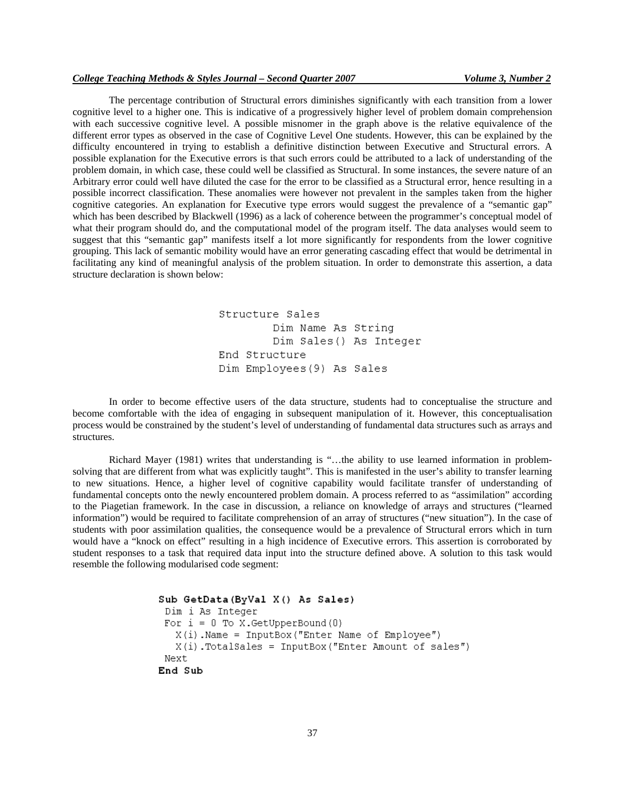## *College Teaching Methods & Styles Journal – Second Quarter 2007 Volume 3, Number 2*

The percentage contribution of Structural errors diminishes significantly with each transition from a lower cognitive level to a higher one. This is indicative of a progressively higher level of problem domain comprehension with each successive cognitive level. A possible misnomer in the graph above is the relative equivalence of the different error types as observed in the case of Cognitive Level One students. However, this can be explained by the difficulty encountered in trying to establish a definitive distinction between Executive and Structural errors. A possible explanation for the Executive errors is that such errors could be attributed to a lack of understanding of the problem domain, in which case, these could well be classified as Structural. In some instances, the severe nature of an Arbitrary error could well have diluted the case for the error to be classified as a Structural error, hence resulting in a possible incorrect classification. These anomalies were however not prevalent in the samples taken from the higher cognitive categories. An explanation for Executive type errors would suggest the prevalence of a "semantic gap" which has been described by Blackwell (1996) as a lack of coherence between the programmer's conceptual model of what their program should do, and the computational model of the program itself. The data analyses would seem to suggest that this "semantic gap" manifests itself a lot more significantly for respondents from the lower cognitive grouping. This lack of semantic mobility would have an error generating cascading effect that would be detrimental in facilitating any kind of meaningful analysis of the problem situation. In order to demonstrate this assertion, a data structure declaration is shown below:

> Structure Sales Dim Name As String Dim Sales() As Integer End Structure Dim Employees (9) As Sales

In order to become effective users of the data structure, students had to conceptualise the structure and become comfortable with the idea of engaging in subsequent manipulation of it. However, this conceptualisation process would be constrained by the student's level of understanding of fundamental data structures such as arrays and structures.

Richard Mayer (1981) writes that understanding is "…the ability to use learned information in problemsolving that are different from what was explicitly taught". This is manifested in the user's ability to transfer learning to new situations. Hence, a higher level of cognitive capability would facilitate transfer of understanding of fundamental concepts onto the newly encountered problem domain. A process referred to as "assimilation" according to the Piagetian framework. In the case in discussion, a reliance on knowledge of arrays and structures ("learned information") would be required to facilitate comprehension of an array of structures ("new situation"). In the case of students with poor assimilation qualities, the consequence would be a prevalence of Structural errors which in turn would have a "knock on effect" resulting in a high incidence of Executive errors. This assertion is corroborated by student responses to a task that required data input into the structure defined above. A solution to this task would resemble the following modularised code segment:

```
Sub GetData (ByVal X () As Sales)
 Dim i As Integer
For i = 0 To X. GetUpperBound (0)
   X(i). Name = InputBox ("Enter Name of Employee")
   X(i). TotalSales = InputBox ("Enter Amount of sales")
Next
End Sub
```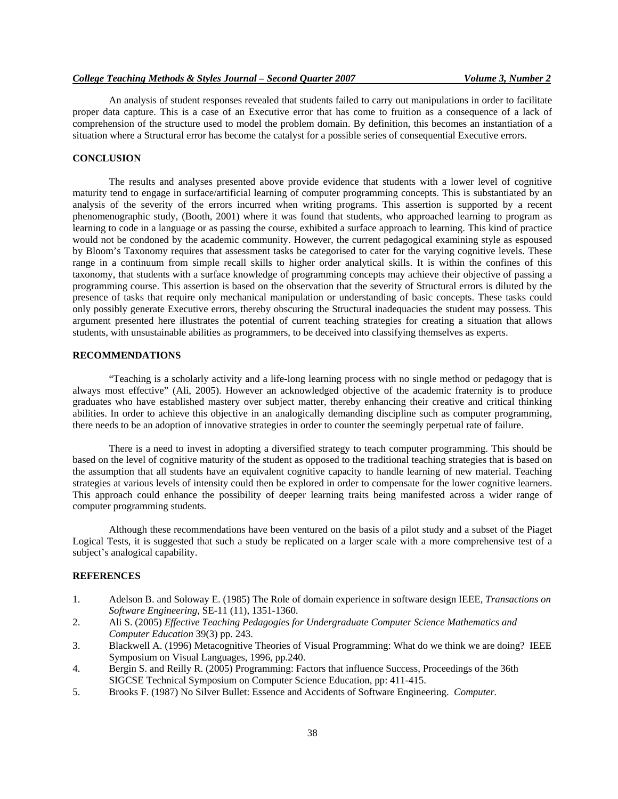An analysis of student responses revealed that students failed to carry out manipulations in order to facilitate proper data capture. This is a case of an Executive error that has come to fruition as a consequence of a lack of comprehension of the structure used to model the problem domain. By definition, this becomes an instantiation of a situation where a Structural error has become the catalyst for a possible series of consequential Executive errors.

## **CONCLUSION**

The results and analyses presented above provide evidence that students with a lower level of cognitive maturity tend to engage in surface/artificial learning of computer programming concepts. This is substantiated by an analysis of the severity of the errors incurred when writing programs. This assertion is supported by a recent phenomenographic study, (Booth, 2001) where it was found that students, who approached learning to program as learning to code in a language or as passing the course, exhibited a surface approach to learning. This kind of practice would not be condoned by the academic community. However, the current pedagogical examining style as espoused by Bloom's Taxonomy requires that assessment tasks be categorised to cater for the varying cognitive levels. These range in a continuum from simple recall skills to higher order analytical skills. It is within the confines of this taxonomy, that students with a surface knowledge of programming concepts may achieve their objective of passing a programming course. This assertion is based on the observation that the severity of Structural errors is diluted by the presence of tasks that require only mechanical manipulation or understanding of basic concepts. These tasks could only possibly generate Executive errors, thereby obscuring the Structural inadequacies the student may possess. This argument presented here illustrates the potential of current teaching strategies for creating a situation that allows students, with unsustainable abilities as programmers, to be deceived into classifying themselves as experts.

## **RECOMMENDATIONS**

"Teaching is a scholarly activity and a life-long learning process with no single method or pedagogy that is always most effective" (Ali, 2005). However an acknowledged objective of the academic fraternity is to produce graduates who have established mastery over subject matter, thereby enhancing their creative and critical thinking abilities. In order to achieve this objective in an analogically demanding discipline such as computer programming, there needs to be an adoption of innovative strategies in order to counter the seemingly perpetual rate of failure.

There is a need to invest in adopting a diversified strategy to teach computer programming. This should be based on the level of cognitive maturity of the student as opposed to the traditional teaching strategies that is based on the assumption that all students have an equivalent cognitive capacity to handle learning of new material. Teaching strategies at various levels of intensity could then be explored in order to compensate for the lower cognitive learners. This approach could enhance the possibility of deeper learning traits being manifested across a wider range of computer programming students.

Although these recommendations have been ventured on the basis of a pilot study and a subset of the Piaget Logical Tests, it is suggested that such a study be replicated on a larger scale with a more comprehensive test of a subject's analogical capability.

### **REFERENCES**

- 1. Adelson B. and Soloway E. (1985) The Role of domain experience in software design IEEE, *Transactions on Software Engineering*, SE-11 (11), 1351-1360.
- 2. Ali S. (2005) *Effective Teaching Pedagogies for Undergraduate Computer Science Mathematics and Computer Education* 39(3) pp. 243.
- 3. Blackwell A. (1996) Metacognitive Theories of Visual Programming: What do we think we are doing? IEEE Symposium on Visual Languages, 1996, pp.240.
- 4. Bergin S. and Reilly R. (2005) Programming: Factors that influence Success, Proceedings of the 36th SIGCSE Technical Symposium on Computer Science Education, pp: 411-415.
- 5. Brooks F. (1987) No Silver Bullet: Essence and Accidents of Software Engineering. *Computer.*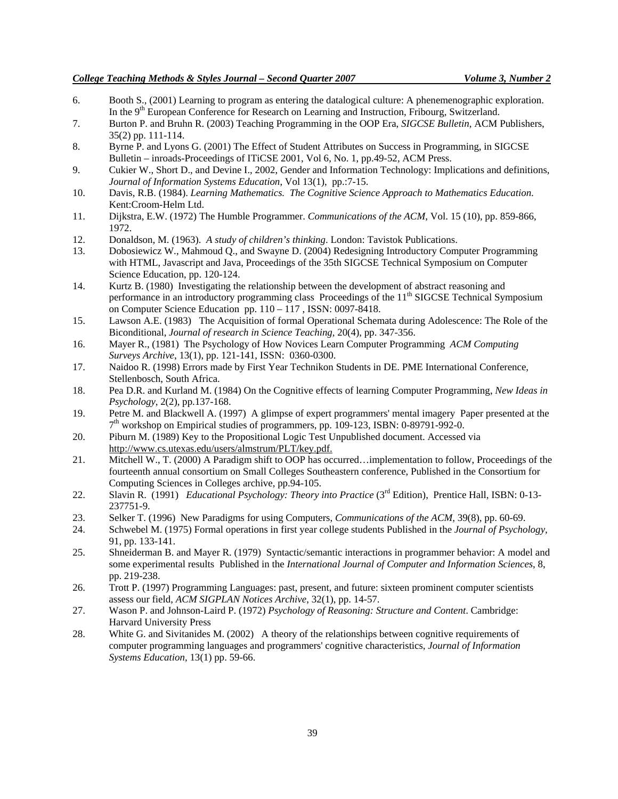- 6. Booth S., (2001) Learning to program as entering the datalogical culture: A phenemenographic exploration. In the 9<sup>th</sup> European Conference for Research on Learning and Instruction, Fribourg, Switzerland.
- 7. Burton P. and Bruhn R. (2003) Teaching Programming in the OOP Era, *SIGCSE Bulletin*, ACM Publishers, 35(2) pp. 111-114.
- 8. Byrne P. and Lyons G. (2001) The Effect of Student Attributes on Success in Programming, in SIGCSE Bulletin – inroads-Proceedings of ITiCSE 2001, Vol 6, No. 1, pp.49-52, ACM Press.
- 9. Cukier W., Short D., and Devine I., 2002, Gender and Information Technology: Implications and definitions, *Journal of Information Systems Education*, Vol 13(1), pp.:7-15.
- 10. Davis, R.B. (1984). *Learning Mathematics. The Cognitive Science Approach to Mathematics Education*. Kent:Croom-Helm Ltd.
- 11. Dijkstra, E.W. (1972) The Humble Programmer. *Communications of the ACM*, Vol. 15 (10), pp. 859-866, 1972.
- 12. Donaldson, M. (1963). *A study of children's thinking*. London: Tavistok Publications.
- 13. Dobosiewicz W., Mahmoud Q., and Swayne D. (2004) Redesigning Introductory Computer Programming with HTML, Javascript and Java, Proceedings of the 35th SIGCSE Technical Symposium on Computer Science Education, pp. 120-124.
- 14. Kurtz B. (1980) Investigating the relationship between the development of abstract reasoning and performance in an introductory programming class Proceedings of the  $11<sup>th</sup>$  SIGCSE Technical Symposium on Computer Science Education pp. 110 – 117 , ISSN: 0097-8418.
- 15. Lawson A.E. (1983) The Acquisition of formal Operational Schemata during Adolescence: The Role of the Biconditional, *Journal of research in Science Teaching*, 20(4), pp. 347-356.
- 16. Mayer R., (1981) The Psychology of How Novices Learn Computer Programming *ACM Computing Surveys Archive*, 13(1), pp. 121-141, ISSN: 0360-0300.
- 17. Naidoo R. (1998) Errors made by First Year Technikon Students in DE. PME International Conference, Stellenbosch, South Africa.
- 18. Pea D.R. and Kurland M. (1984) On the Cognitive effects of learning Computer Programming, *New Ideas in Psychology*, 2(2), pp.137-168.
- 19. Petre M. and Blackwell A. (1997) A glimpse of expert programmers' mental imagery Paper presented at the 7th workshop on Empirical studies of programmers, pp. 109-123, ISBN: 0-89791-992-0.
- 20. Piburn M. (1989) Key to the Propositional Logic Test Unpublished document. Accessed via http://www.cs.utexas.edu/users/almstrum/PLT/key.pdf.
- 21. Mitchell W., T. (2000) A Paradigm shift to OOP has occurred…implementation to follow, Proceedings of the fourteenth annual consortium on Small Colleges Southeastern conference, Published in the Consortium for Computing Sciences in Colleges archive, pp.94-105.
- 22. Slavin R. (1991) *Educational Psychology: Theory into Practice* (3rd Edition), Prentice Hall, ISBN: 0-13- 237751-9.
- 23. Selker T. (1996) New Paradigms for using Computers, *Communications of the ACM*, 39(8), pp. 60-69.
- 24. Schwebel M. (1975) Formal operations in first year college students Published in the *Journal of Psychology*, 91, pp. 133-141.
- 25. Shneiderman B. and Mayer R. (1979) Syntactic/semantic interactions in programmer behavior: A model and some experimental results Published in the *International Journal of Computer and Information Sciences*, 8, pp. 219-238.
- 26. Trott P. (1997) Programming Languages: past, present, and future: sixteen prominent computer scientists assess our field, *ACM SIGPLAN Notices Archive*, 32(1), pp. 14-57.
- 27. Wason P. and Johnson-Laird P. (1972) *Psychology of Reasoning: Structure and Content*. Cambridge: Harvard University Press
- 28. White G. and Sivitanides M. (2002) A theory of the relationships between cognitive requirements of computer programming languages and programmers' cognitive characteristics, *Journal of Information Systems Education*, 13(1) pp. 59-66.